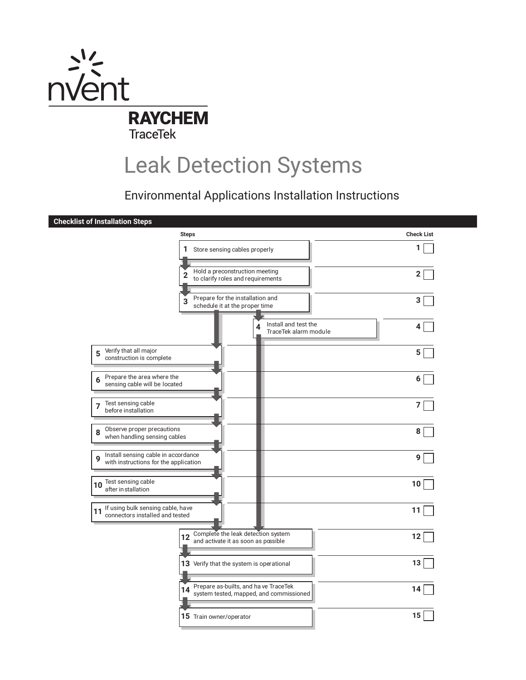

# Leak Detection Systems

Environmental Applications Installation Instructions

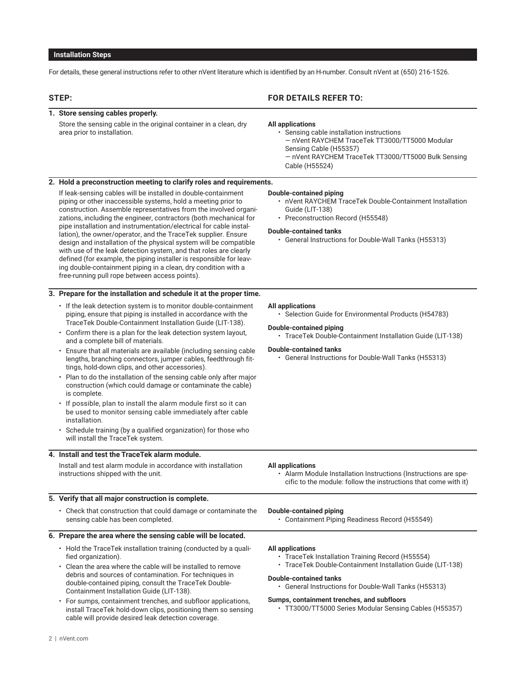## **Installation Steps**

For details, these general instructions refer to other nVent literature which is identified by an H-number. Consult nVent at (650) 216-1526.

| STEP: |                                                                                                                                                                                                                                                                                                                                                                                                                                                                                                                                                                                                                                                                                                                                                                                                                                                                                                              | <b>FOR DETAILS REFER TO:</b>                                                                                                                                                                                                                                                                                                                |
|-------|--------------------------------------------------------------------------------------------------------------------------------------------------------------------------------------------------------------------------------------------------------------------------------------------------------------------------------------------------------------------------------------------------------------------------------------------------------------------------------------------------------------------------------------------------------------------------------------------------------------------------------------------------------------------------------------------------------------------------------------------------------------------------------------------------------------------------------------------------------------------------------------------------------------|---------------------------------------------------------------------------------------------------------------------------------------------------------------------------------------------------------------------------------------------------------------------------------------------------------------------------------------------|
|       | 1. Store sensing cables properly.                                                                                                                                                                                                                                                                                                                                                                                                                                                                                                                                                                                                                                                                                                                                                                                                                                                                            |                                                                                                                                                                                                                                                                                                                                             |
|       | Store the sensing cable in the original container in a clean, dry<br>area prior to installation.                                                                                                                                                                                                                                                                                                                                                                                                                                                                                                                                                                                                                                                                                                                                                                                                             | <b>All applications</b><br>· Sensing cable installation instructions<br>- nVent RAYCHEM TraceTek TT3000/TT5000 Modular<br>Sensing Cable (H55357)<br>- nVent RAYCHEM TraceTek TT3000/TT5000 Bulk Sensing<br>Cable (H55524)                                                                                                                   |
|       | 2. Hold a preconstruction meeting to clarify roles and requirements.                                                                                                                                                                                                                                                                                                                                                                                                                                                                                                                                                                                                                                                                                                                                                                                                                                         |                                                                                                                                                                                                                                                                                                                                             |
|       | If leak-sensing cables will be installed in double-containment<br>piping or other inaccessible systems, hold a meeting prior to<br>construction. Assemble representatives from the involved organi-<br>zations, including the engineer, contractors (both mechanical for<br>pipe installation and instrumentation/electrical for cable instal-<br>lation), the owner/operator, and the TraceTek supplier. Ensure<br>design and installation of the physical system will be compatible<br>with use of the leak detection system, and that roles are clearly<br>defined (for example, the piping installer is responsible for leav-<br>ing double-containment piping in a clean, dry condition with a<br>free-running pull rope between access points).                                                                                                                                                        | <b>Double-contained piping</b><br>• nVent RAYCHEM TraceTek Double-Containment Installation<br>Guide (LIT-138)<br>• Preconstruction Record (H55548)<br><b>Double-contained tanks</b><br>• General Instructions for Double-Wall Tanks (H55313)                                                                                                |
|       | 3. Prepare for the installation and schedule it at the proper time.                                                                                                                                                                                                                                                                                                                                                                                                                                                                                                                                                                                                                                                                                                                                                                                                                                          |                                                                                                                                                                                                                                                                                                                                             |
|       | • If the leak detection system is to monitor double-containment<br>piping, ensure that piping is installed in accordance with the<br>TraceTek Double-Containment Installation Guide (LIT-138).<br>• Confirm there is a plan for the leak detection system layout,<br>and a complete bill of materials.<br>Ensure that all materials are available (including sensing cable<br>lengths, branching connectors, jumper cables, feedthrough fit-<br>tings, hold-down clips, and other accessories).<br>• Plan to do the installation of the sensing cable only after major<br>construction (which could damage or contaminate the cable)<br>is complete.<br>• If possible, plan to install the alarm module first so it can<br>be used to monitor sensing cable immediately after cable<br>installation.<br>• Schedule training (by a qualified organization) for those who<br>will install the TraceTek system. | <b>All applications</b><br>• Selection Guide for Environmental Products (H54783)<br><b>Double-contained piping</b><br>· TraceTek Double-Containment Installation Guide (LIT-138)<br><b>Double-contained tanks</b><br>• General Instructions for Double-Wall Tanks (H55313)                                                                  |
|       | 4. Install and test the Trace Tek alarm module.                                                                                                                                                                                                                                                                                                                                                                                                                                                                                                                                                                                                                                                                                                                                                                                                                                                              |                                                                                                                                                                                                                                                                                                                                             |
|       | Install and test alarm module in accordance with installation<br>instructions shipped with the unit.                                                                                                                                                                                                                                                                                                                                                                                                                                                                                                                                                                                                                                                                                                                                                                                                         | All applications<br>Alarm Module Installation Instructions (Instructions are spe-<br>cific to the module: follow the instructions that come with it)                                                                                                                                                                                        |
|       | 5. Verify that all major construction is complete.                                                                                                                                                                                                                                                                                                                                                                                                                                                                                                                                                                                                                                                                                                                                                                                                                                                           |                                                                                                                                                                                                                                                                                                                                             |
|       | • Check that construction that could damage or contaminate the<br>sensing cable has been completed.                                                                                                                                                                                                                                                                                                                                                                                                                                                                                                                                                                                                                                                                                                                                                                                                          | <b>Double-contained piping</b><br>• Containment Piping Readiness Record (H55549)                                                                                                                                                                                                                                                            |
|       | 6. Prepare the area where the sensing cable will be located.                                                                                                                                                                                                                                                                                                                                                                                                                                                                                                                                                                                                                                                                                                                                                                                                                                                 |                                                                                                                                                                                                                                                                                                                                             |
|       | • Hold the TraceTek installation training (conducted by a quali-<br>fied organization).<br>• Clean the area where the cable will be installed to remove<br>debris and sources of contamination. For techniques in<br>double-contained piping, consult the TraceTek Double-<br>Containment Installation Guide (LIT-138).<br>• For sumps, containment trenches, and subfloor applications,<br>install TraceTek hold-down clips, positioning them so sensing<br>cable will provide desired leak detection coverage.                                                                                                                                                                                                                                                                                                                                                                                             | <b>All applications</b><br>• TraceTek Installation Training Record (H55554)<br>· TraceTek Double-Containment Installation Guide (LIT-138)<br><b>Double-contained tanks</b><br>• General Instructions for Double-Wall Tanks (H55313)<br>Sumps, containment trenches, and subfloors<br>• TT3000/TT5000 Series Modular Sensing Cables (H55357) |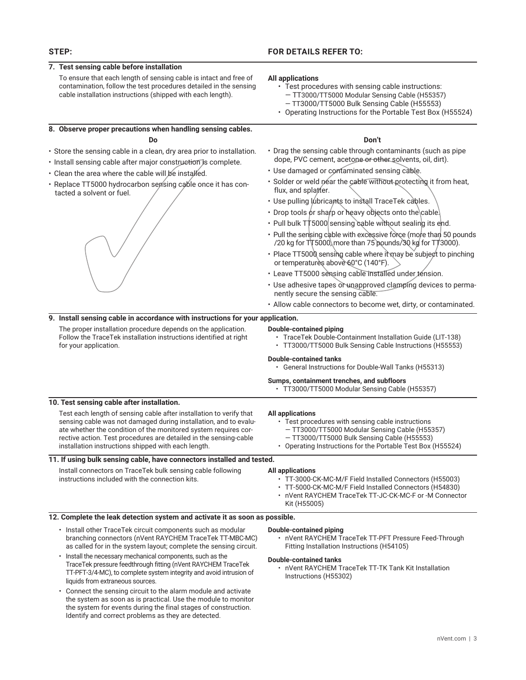### **7. Test sensing cable before installation**

To ensure that each length of sensing cable is intact and free of contamination, follow the test procedures detailed in the sensing cable installation instructions (shipped with each length).

#### **8. Observe proper precautions when handling sensing cables.**

#### **Do**

- Store the sensing cable in a clean, dry area prior to installation.
- Install sensing cable after major construction is complete.
- Clean the area where the cable will be installed.
- Replace TT5000 hydrocarbon sensing cable once it has contacted a solvent or fuel.

## **STEP: FOR DETAILS REFER TO:**

#### **All applications**

- Test procedures with sensing cable instructions: — TT3000/TT5000 Modular Sensing Cable (H55357) — TT3000/TT5000 Bulk Sensing Cable (H55553)
- Operating Instructions for the Portable Test Box (H55524)

#### **Don't**

- Drag the sensing cable through contaminants (such as pipe dope, PVC cement, acetone or other solvents, oil, dirt).
- Use damaged or contaminated sensing cable.
- Solder or weld near the cable without protecting it from heat, flux, and splatter.
- Use pulling lubricants to install TraceTek cables.
- Drop tools or sharp or heavy objects onto the cable.
- Pull bulk TT5000 sensing cable without sealing its end.
- Pull the sensing cable with excessive force (more than 50 pounds /20 kg for  $\overline{T}$ 5000, more than 75 pounds/30 kg for T $\overline{T}$ 3000).
- Place TT5000 sensing cable where it may be subject to pinching or temperatures above 60°C (140°F).
- Leave TT5000 sensing cable installed under tension.
- Use adhesive tapes or unapproved clamping devices to permanently secure the sensing cable.
- Allow cable connectors to become wet, dirty, or contaminated.

#### **9. Install sensing cable in accordance with instructions for your application.**

The proper installation procedure depends on the application. Follow the TraceTek installation instructions identified at right for your application.

#### **Double-contained piping**

- TraceTek Double-Containment Installation Guide (LIT-138)
- TT3000/TT5000 Bulk Sensing Cable Instructions (H55553)

#### **Double-contained tanks**

• General Instructions for Double-Wall Tanks (H55313)

#### **Sumps, containment trenches, and subfloors**

• TT3000/TT5000 Modular Sensing Cable (H55357)

• Test procedures with sensing cable instructions — TT3000/TT5000 Modular Sensing Cable (H55357) — TT3000/TT5000 Bulk Sensing Cable (H55553)

#### **10. Test sensing cable after installation.**

Test each length of sensing cable after installation to verify that sensing cable was not damaged during installation, and to evaluate whether the condition of the monitored system requires corrective action. Test procedures are detailed in the sensing-cable installation instructions shipped with each length.

#### **11. If using bulk sensing cable, have connectors installed and tested.**

Install connectors on TraceTek bulk sensing cable following instructions included with the connection kits.

#### • Operating Instructions for the Portable Test Box (H55524)

**All applications**

#### **All applications**

- TT-3000-CK-MC-M/F Field Installed Connectors (H55003)
- TT-5000-CK-MC-M/F Field Installed Connectors (H54830)
- nVent RAYCHEM TraceTek TT-JC-CK-MC-F or -M Connector Kit (H55005)

#### **12. Complete the leak detection system and activate it as soon as possible.**

- Install other TraceTek circuit components such as modular branching connectors (nVent RAYCHEM TraceTek TT-MBC-MC) as called for in the system layout; complete the sensing circuit.
- Install the necessary mechanical components, such as the TraceTek pressure feedthrough fitting (nVent RAYCHEM TraceTek TT-PFT-3/4-MC), to complete system integrity and avoid intrusion of liquids from extraneous sources.
- Connect the sensing circuit to the alarm module and activate the system as soon as is practical. Use the module to monitor the system for events during the final stages of construction. Identify and correct problems as they are detected.

#### **Double-contained piping**

• nVent RAYCHEM TraceTek TT-PFT Pressure Feed-Through Fitting Installation Instructions (H54105)

#### **Double-contained tanks**

• nVent RAYCHEM TraceTek TT-TK Tank Kit Installation Instructions (H55302)